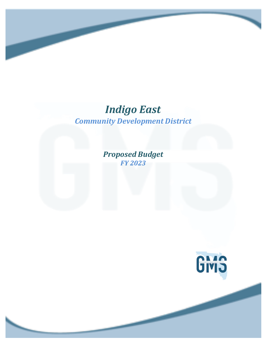# *Community Development District Indigo East*

*Proposed Budget FY 2023*

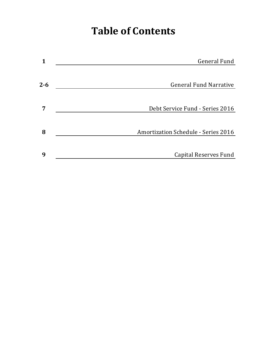# **Table of Contents**

| 1       | <b>General Fund</b>                        |
|---------|--------------------------------------------|
|         |                                            |
| $2 - 6$ | <b>General Fund Narrative</b>              |
|         |                                            |
| 7       | Debt Service Fund - Series 2016            |
|         |                                            |
| 8       | <b>Amortization Schedule - Series 2016</b> |
|         |                                            |
| 9       | <b>Capital Reserves Fund</b>               |
|         |                                            |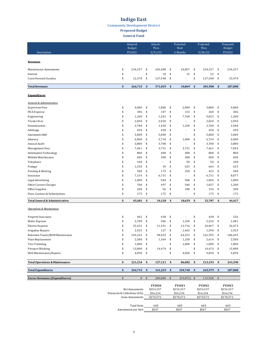**Community Development District** 

**Proposed Budget** 

**General Fund** 

|                                                  |                          | Adopted<br><b>Budget</b>     |            | Actuals<br>Thru            |          | Projected<br>Next   | Projected<br>Thru     |              |                           | Proposed<br><b>Budget</b> |  |
|--------------------------------------------------|--------------------------|------------------------------|------------|----------------------------|----------|---------------------|-----------------------|--------------|---------------------------|---------------------------|--|
| Description                                      | FY2022                   |                              |            | 3/31/22                    |          | 6 Months            |                       | 9/30/22      |                           | FY2023                    |  |
|                                                  |                          |                              |            |                            |          |                     |                       |              |                           |                           |  |
| <b>Revenues</b>                                  |                          |                              |            |                            |          |                     |                       |              |                           |                           |  |
| Maintenance Assessments                          | \$                       | 254,337                      | \$         | 243,480                    | \$       | 10,857              | \$                    | 254,337      | \$                        | 254,337                   |  |
| Interest                                         | \$                       |                              | \$         | 10                         | \$       | 12                  | \$                    | 22           | \$                        |                           |  |
| Carry Forward Surplus                            | \$                       | 12,378                       | \$         | 127,548                    | \$       |                     | \$                    | 127,548      | \$                        | 33,470                    |  |
|                                                  |                          |                              |            |                            |          |                     |                       |              |                           |                           |  |
| <b>Total Revenues</b>                            | \$                       | 266,715                      | \$         | 371,039                    | \$       | 10,869              | \$                    | 381,908      | \$                        | 287,808                   |  |
| <b>Expenditures</b>                              |                          |                              |            |                            |          |                     |                       |              |                           |                           |  |
| General & Administrative                         |                          |                              |            |                            |          |                     |                       |              |                           |                           |  |
| Supervisor Fees                                  | \$                       | 4,000                        | \$         | 1,800                      | \$       | 2,000               | \$                    | 3,800        | \$                        | 4,000                     |  |
| FICA Expense                                     | \$                       | 306                          | \$         | 107                        | \$       | 153                 | \$                    | 260          | \$                        | 306                       |  |
| Engineering                                      | \$                       | 1,200                        | \$         | 1,263                      | \$       | 7,760               | \$                    | 9,023        | \$                        | 1,200                     |  |
| <b>Trustee Fees</b>                              | \$                       | 2,050                        | \$         | 2,020                      | \$       | ÷,                  | \$                    | 2,020        | \$                        | 2,050                     |  |
| Dissemination                                    | \$                       | 2,700                        | \$         | 1,450                      | \$       | 1,250               | \$                    | 2,700        | \$                        | 2,500                     |  |
| Arbitrage                                        | \$                       | 450                          | \$         | 450                        | \$       |                     | \$                    | 450          | \$                        | 450                       |  |
| Assessment Roll                                  | \$                       | 5,000                        | \$         | 5,000                      | \$       | ÷,                  | \$                    | 5,000        | \$                        | 5,000                     |  |
| Attorney                                         | \$                       | 6,000                        | \$         | 5,734                      | \$       | 1,000               | \$                    | 6,734        | \$                        | 6,000                     |  |
| Annual Audit                                     | \$                       | 3,800                        | \$         | 3,700                      | \$       | ÷,<br>3,731         | \$<br>\$              | 3,700        | \$                        | 3,800                     |  |
| Management Fees<br><b>Information Technology</b> | \$<br>\$                 | 7,461<br>800                 | \$<br>\$   | 3,731<br>400               | \$<br>\$ | 400                 | \$                    | 7,461<br>800 | \$<br>\$                  | 7,834<br>800              |  |
| Website Maintenance                              | \$                       | 600                          | \$         | 300                        | \$       | 300                 | \$                    | 600          | \$                        | 600                       |  |
| Telephone                                        | \$                       | 100                          | \$         |                            | \$       | 50                  | \$                    | 50           | \$                        | 100                       |  |
| Postage                                          | \$                       | 1,250                        | \$         | 39                         | \$       | 625                 | \$                    | 664          | \$                        | 625                       |  |
| Printing & Binding                               | \$                       | 500                          | \$         | 173                        | \$       | 250                 | \$                    | 423          | \$                        | 500                       |  |
| Insurance                                        | \$                       | 7,154                        | \$         | 6,731                      | \$       | ÷,                  | \$                    | 6,731        | \$                        | 8,077                     |  |
| Legal Advertising                                | \$                       | 1,000                        | \$         | 504                        | \$       | 500                 | \$                    | 1,004        | \$                        | 1,000                     |  |
| Other Current Charges                            | \$                       | 700                          | \$         | 497                        | \$       | 540                 | \$                    | 1,037        | \$                        | 1,200                     |  |
| Office Supplies                                  | \$                       | 200                          | \$         | 56                         | \$       | 100                 | \$                    | 156          | \$                        | 200                       |  |
| Dues, Licenses & Subscriptions                   | \$                       | 175                          | \$         | 175                        | \$       |                     | \$                    | 175          | \$                        | 175                       |  |
| Total General & Administrative:                  | \$                       | 45,481                       | \$         | 34,128                     | \$       | 18,659              | \$                    | 52,787       | \$                        | 46,417                    |  |
|                                                  |                          |                              |            |                            |          |                     |                       |              |                           |                           |  |
| <b>Operations &amp; Maintenance</b>              |                          |                              |            |                            |          |                     |                       |              |                           |                           |  |
| Property Insurance                               | \$                       | 465                          | \$         | 438                        | \$       |                     | \$                    | 438          | \$                        | 526                       |  |
| Water Expense                                    | \$                       | 2,700                        | \$         | 906                        | \$       | 1,350               | \$                    | 2,256        | \$                        | 2,481                     |  |
| Electric Expense                                 | \$                       | 25,432                       | \$         | 11,351                     | \$       | 12,716              | \$                    | 24,067       | \$                        | 26,473                    |  |
| <b>Irrigation Repairs</b>                        | \$                       | 2,925                        | \$         | 127                        | \$       | 1,463               | \$                    | 1,590        | \$                        | 2,925                     |  |
| Retention Ponds/ROW Maintenance                  | \$                       | 169,162                      | \$         | 98.452                     | \$       | 64.253              | \$                    | 162,705      | \$                        | 186.435                   |  |
| Plant Replacement                                | \$                       | 2,500                        | \$         | 1,364                      | \$       | 1,250               | \$                    | 2,614        | \$                        | 2,500                     |  |
| <b>Tree Trimming</b>                             | \$                       | 1,000                        | \$         |                            | \$       | 1,000               | \$                    | 1,000        | $\frac{1}{2}$             | 1,000                     |  |
| Pressure Washing                                 | \$                       | 13,000                       | \$         | 14,474                     | \$       | $\overline{a}$      | \$                    | 14,474       | \$                        | 15,000                    |  |
| Well Maintenance/Repairs                         | \$                       | 4,050                        | \$         | $\overline{a}$             | \$       | 4,050               | \$                    | 4,050        | \$                        | 4,050                     |  |
| <b>Total Operations &amp; Maintenance:</b>       | \$                       | 221,234                      | \$         | 127,111                    | \$       | 86,082              | \$                    | 213,193      | \$                        | 241,390                   |  |
| <b>Total Expenditures</b>                        | \$                       | 266,715                      | \$         | 161,239                    | \$       | 104,740             | \$                    | 265,979      | $\boldsymbol{\mathsf{s}}$ | 287,808                   |  |
| <b>Excess Revenues/(Expenditures)</b>            | $\frac{1}{2}$            | $\mathbf{0}$                 | $\sqrt{5}$ | 209,800                    | \$       | $(93, 872)$ \$      |                       | 115,928      | $\frac{1}{2}$             | $\overline{\phantom{0}}$  |  |
|                                                  |                          |                              |            |                            |          |                     |                       |              |                           |                           |  |
|                                                  |                          | Net Assessments              |            | <b>FY2020</b><br>\$254,337 |          | FY2021<br>\$254,337 |                       | FY2022       |                           | FY2023<br>\$254,337       |  |
|                                                  |                          | Discounts & Collections (6%) |            | \$16,234                   |          | \$16,234            | \$254,337<br>\$16,234 |              |                           | \$16,234                  |  |
|                                                  | <b>Gross Assessments</b> |                              |            | \$270,572                  |          | \$270,572           | \$270,572             |              |                           | \$270,572                 |  |
|                                                  |                          |                              |            |                            |          |                     |                       |              |                           |                           |  |
|                                                  |                          | <b>Total Units</b>           |            | 605                        |          | 605                 |                       | 605          |                           | 605                       |  |
|                                                  |                          | Assessments per Unit         |            | \$447                      |          | \$447               |                       | \$447        |                           | \$447                     |  |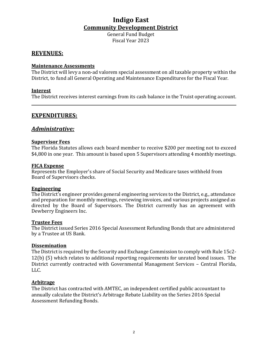General Fund Budget Fiscal Year 2023 

#### **REVENUES:**

#### **Maintenance Assessments**

The District will levy a non-ad valorem special assessment on all taxable property within the District, to fund all General Operating and Maintenance Expenditures for the Fiscal Year.

#### **Interest**

The District receives interest earnings from its cash balance in the Truist operating account.

#### **EXPENDITURES:**

#### *Administrative:*

#### **Supervisor Fees**

The Florida Statutes allows each board member to receive \$200 per meeting not to exceed \$4,800 in one year. This amount is based upon 5 Supervisors attending 4 monthly meetings.

#### **FICA Expense**

Represents the Employer's share of Social Security and Medicare taxes withheld from Board of Supervisors checks.

#### **Engineering**

The District's engineer provides general engineering services to the District, e.g., attendance and preparation for monthly meetings, reviewing invoices, and various projects assigned as directed by the Board of Supervisors. The District currently has an agreement with Dewberry Engineers Inc.

#### **Trustee Fees**

The District issued Series 2016 Special Assessment Refunding Bonds that are administered by a Trustee at US Bank.

#### **Dissemination**

The District is required by the Security and Exchange Commission to comply with Rule 15c2-12(b) (5) which relates to additional reporting requirements for unrated bond issues. The District currently contracted with Governmental Management Services - Central Florida, LLC.

#### **Arbitrage**

The District has contracted with AMTEC, an independent certified public accountant to annually calculate the District's Arbitrage Rebate Liability on the Series 2016 Special Assessment Refunding Bonds.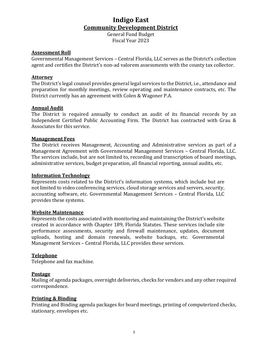General Fund Budget Fiscal Year 2023 

#### **Assessment Roll**

Governmental Management Services – Central Florida, LLC serves as the District's collection agent and certifies the District's non-ad valorem assessments with the county tax collector.

#### **Attorney**

The District's legal counsel provides general legal services to the District, i.e., attendance and preparation for monthly meetings, review operating and maintenance contracts, etc. The District currently has an agreement with Colen & Wagoner P.A.

#### **Annual Audit**

The District is required annually to conduct an audit of its financial records by an Independent Certified Public Accounting Firm. The District has contracted with Grau & Associates for this service.

#### **Management Fees**

The District receives Management, Accounting and Administrative services as part of a Management Agreement with Governmental Management Services – Central Florida, LLC. The services include, but are not limited to, recording and transcription of board meetings, administrative services, budget preparation, all financial reporting, annual audits, etc.

#### **Information Technology**

Represents costs related to the District's information systems, which include but are not limited to video conferencing services, cloud storage services and servers, security, accounting software, etc. Governmental Management Services - Central Florida, LLC provides these systems.

#### **Website Maintenance**

Represents the costs associated with monitoring and maintaining the District's website created in accordance with Chapter 189, Florida Statutes. These services include site performance assessments, security and firewall maintenance, updates, document uploads, hosting and domain renewals, website backups, etc. Governmental Management Services – Central Florida, LLC provides these services.

#### **Telephone**

Telephone and fax machine.

#### **Postage**

Mailing of agenda packages, overnight deliveries, checks for vendors and any other required correspondence.

#### **Printing & Binding**

Printing and Binding agenda packages for board meetings, printing of computerized checks, stationary, envelopes etc.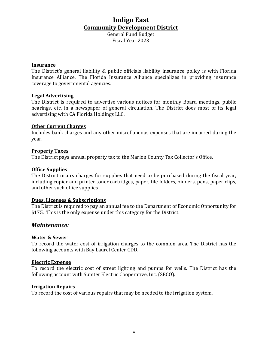General Fund Budget Fiscal Year 2023

#### **Insurance**

The District's general liability & public officials liability insurance policy is with Florida Insurance Alliance. The Florida Insurance Alliance specializes in providing insurance coverage to governmental agencies.

#### **Legal Advertising**

The District is required to advertise various notices for monthly Board meetings, public hearings, etc. in a newspaper of general circulation. The District does most of its legal advertising with CA Florida Holdings LLC.

#### **Other Current Charges**

Includes bank charges and any other miscellaneous expenses that are incurred during the year.

#### **Property Taxes**

The District pays annual property tax to the Marion County Tax Collector's Office.

#### **Office Supplies**

The District incurs charges for supplies that need to be purchased during the fiscal year, including copier and printer toner cartridges, paper, file folders, binders, pens, paper clips, and other such office supplies.

#### **Dues, Licenses & Subscriptions**

The District is required to pay an annual fee to the Department of Economic Opportunity for \$175. This is the only expense under this category for the District.

#### *Maintenance:*

#### **Water & Sewer**

To record the water cost of irrigation charges to the common area. The District has the following accounts with Bay Laurel Center CDD.

#### **Electric Expense**

To record the electric cost of street lighting and pumps for wells. The District has the following account with Sumter Electric Cooperative, Inc. (SECO).

#### **Irrigation Repairs**

To record the cost of various repairs that may be needed to the irrigation system.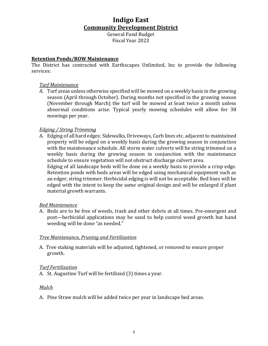General Fund Budget Fiscal Year 2023 

#### **Retention Ponds/ROW Maintenance**

The District has contracted with Earthscapes Unlimited, Inc to provide the following services:

#### **Turf Maintenance**

A. Turf areas unless otherwise specified will be mowed on a weekly basis in the growing season (April through October). During months not specified in the growing season (November through March) the turf will be mowed at least twice a month unless abnormal conditions arise. Typical yearly mowing schedules will allow for 38 mowings per year.

#### *Edging / String Trimming*

A. Edging of all hard edges: Sidewalks, Driveways, Curb lines etc. adjacent to maintained property will be edged on a weekly basis during the growing season in conjunction with the maintenance schedule. All storm water culverts will be string trimmed on a weekly basis during the growing season in conjunction with the maintenance schedule to ensure vegetation will not obstruct discharge culvert area.

Edging of all landscape beds will be done on a weekly basis to provide a crisp edge. Retention ponds with beds areas will be edged using mechanical equipment such as an edger, string trimmer. Herbicidal edging is will not be acceptable. Bed lines will be edged with the intent to keep the same original design and will be enlarged if plant material growth warrants.

#### *Bed Maintenance*

A. Beds are to be free of weeds, trash and other debris at all times. Pre-emergent and post—herbicidal applications may be used to help control weed growth but hand weeding will be done "as needed."

#### **Tree Maintenance, Pruning and Fertilization**

A. Tree staking materials will be adjusted, tightened, or removed to ensure proper growth.

#### *Turf Fertilization*

A. St. Augustine Turf will be fertilized (3) times a year.

#### *Mulch*

A. Pine Straw mulch will be added twice per year in landscape bed areas.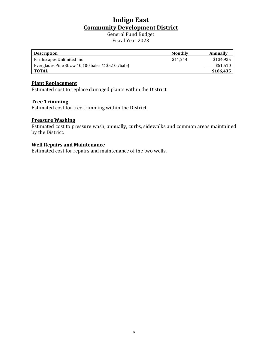General Fund Budget Fiscal Year 2023

| <b>Description</b>                                 | Monthly  | Annually  |
|----------------------------------------------------|----------|-----------|
| Earthscapes Unlimited Inc                          | \$11.244 | \$134.925 |
| Everglades Pine Straw 10,100 bales @ \$5.10 /bale) |          | \$51,510  |
| TOTAL                                              |          | \$186,435 |

#### **Plant Replacement**

Estimated cost to replace damaged plants within the District.

#### **Tree Trimming**

Estimated cost for tree trimming within the District.

#### **Pressure Washing**

Estimated cost to pressure wash, annually, curbs, sidewalks and common areas maintained by the District.

#### **Well Repairs and Maintenance**

Estimated cost for repairs and maintenance of the two wells.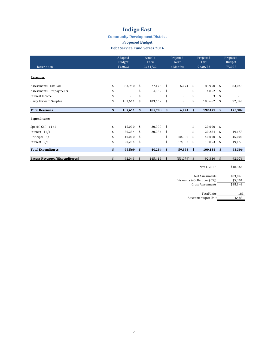#### **Community Development District**

#### **Proposed Budget**

#### Debt Service Fund Series 2016

|                                       | Adopted<br>Budget<br>FY2022 |         | Actuals<br>Thru<br>3/31/22 |         | Projected<br>Next<br>6 Months |          |               | Projected<br>Thru | Proposed<br>Budget<br>FY2023 |          |  |
|---------------------------------------|-----------------------------|---------|----------------------------|---------|-------------------------------|----------|---------------|-------------------|------------------------------|----------|--|
| Description                           |                             |         |                            |         |                               |          |               | 9/30/22           |                              |          |  |
| Revenues                              |                             |         |                            |         |                               |          |               |                   |                              |          |  |
| Assessments - Tax Roll                | \$                          | 83,950  | \$                         | 77,176  | \$                            | 6,774    | \$            | 83,950            | -\$                          | 83,043   |  |
| Assessments - Prepayments             | \$                          |         | \$                         | 4,862   | \$                            | ٠        | \$            | 4,862             | \$                           |          |  |
| Interest Income                       | \$                          |         | \$                         | 3       | \$                            | $\sim$   | \$            | 3                 | \$                           |          |  |
| Carry Forward Surplus                 | \$                          | 103,661 | \$                         | 103,662 | \$                            | ×.       | \$            | 103,662           | \$                           | 92,340   |  |
| <b>Total Revenues</b>                 | $\mathbf{s}$                | 187,611 | $\mathbf{s}$               | 185,703 | \$                            | 6,774    | $\mathbf{s}$  | 192,477           | $\mathbf{s}$                 | 175,382  |  |
| <b>Expenditures</b>                   |                             |         |                            |         |                               |          |               |                   |                              |          |  |
| Special Call - 11/1                   | \$                          | 15,000  | \$                         | 20,000  | \$                            | ÷        | \$            | 20,000            | -\$                          |          |  |
| Interest - $11/1$                     | \$                          | 20,284  | \$                         | 20,284  | \$                            |          | \$            | 20,284            | -\$                          | 19,153   |  |
| Principal - 5/1                       | \$                          | 40,000  | \$                         |         | \$                            | 40,000   | \$            | 40,000            | \$                           | 45,000   |  |
| Interest - $5/1$                      | \$                          | 20,284  | \$                         | ٠       | \$                            | 19,853   | \$            | 19,853            | \$                           | 19,153   |  |
| <b>Total Expenditures</b>             | $\mathbf{s}$                | 95,569  | $\mathbf{s}$               | 40,284  | \$                            | 59,853   | $\mathbf{s}$  | 100,138           | \$                           | 83,306   |  |
| <b>Excess Revenues/(Expenditures)</b> | \$                          | 92,043  | $\sqrt{2}$                 | 145,419 | \$                            | (53,079) | $\sqrt[6]{3}$ | 92,340            | \$                           | 92,076   |  |
|                                       |                             |         |                            |         |                               |          |               | Nov 1, 2023       |                              | \$18,366 |  |

Net Assessments \$83,043<br>Collections (6%) \$5,301<br>Fross Assessments \$88,343 Discounts & Collections (6%) Gross Assessments

| Total Units          | 183   |
|----------------------|-------|
| Assessments per Unit | \$483 |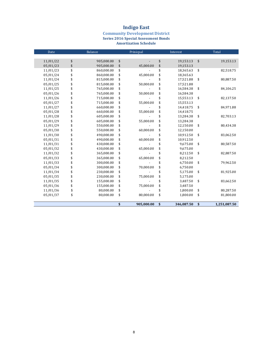#### **Community Development District Series 2016 Special Assessment Bonds Amortization Schedule**

| Date     | Balance          | Prinicpal        | Interest         | Total              |
|----------|------------------|------------------|------------------|--------------------|
|          |                  |                  |                  |                    |
| 11/01/22 | \$<br>905,000.00 | \$               | \$<br>19,153.13  | \$<br>19,153.13    |
| 05/01/23 | \$<br>905,000.00 | \$<br>45,000.00  | \$<br>19,153.13  |                    |
| 11/01/23 | \$<br>860,000.00 | \$               | \$<br>18,365.63  | \$<br>82,518.75    |
| 05/01/24 | \$<br>860,000.00 | \$<br>45,000.00  | \$<br>18,365.63  |                    |
| 11/01/24 | \$<br>815,000.00 | \$               | \$<br>17,521.88  | \$<br>80,887.50    |
| 05/01/25 | \$<br>815,000.00 | \$<br>50,000.00  | \$<br>17,521.88  |                    |
| 11/01/25 | \$<br>765,000.00 | \$               | \$<br>16,584.38  | \$<br>84,106.25    |
| 05/01/26 | \$<br>765,000.00 | \$<br>50,000.00  | \$<br>16,584.38  |                    |
| 11/01/26 | \$<br>715,000.00 | \$               | \$<br>15,553.13  | \$<br>82,137.50    |
| 05/01/27 | \$<br>715,000.00 | \$<br>55,000.00  | \$<br>15,553.13  |                    |
| 11/01/27 | \$<br>660,000.00 | \$               | \$<br>14,418.75  | \$<br>84,971.88    |
| 05/01/28 | \$<br>660,000.00 | \$<br>55,000.00  | \$<br>14,418.75  |                    |
| 11/01/28 | \$<br>605,000.00 | \$               | \$<br>13,284.38  | \$<br>82,703.13    |
| 05/01/29 | \$<br>605,000.00 | \$<br>55,000.00  | \$<br>13,284.38  |                    |
| 11/01/29 | \$<br>550,000.00 | \$               | \$<br>12,150.00  | \$<br>80,434.38    |
| 05/01/30 | \$<br>550,000.00 | \$<br>60,000.00  | \$<br>12,150.00  |                    |
| 11/01/30 | \$<br>490,000.00 | \$               | \$<br>10,912.50  | \$<br>83,062.50    |
| 05/01/31 | \$<br>490,000.00 | \$<br>60,000.00  | \$<br>10,912.50  |                    |
| 11/01/31 | \$<br>430,000.00 | \$               | \$<br>9,675.00   | \$<br>80,587.50    |
| 05/01/32 | \$<br>430,000.00 | \$<br>65,000.00  | \$<br>9,675.00   |                    |
| 11/01/32 | \$<br>365,000.00 | \$               | \$<br>8,212.50   | \$<br>82,887.50    |
| 05/01/33 | \$<br>365,000.00 | \$<br>65,000.00  | \$<br>8,212.50   |                    |
| 11/01/33 | \$<br>300,000.00 | \$               | \$<br>6,750.00   | \$<br>79,962.50    |
| 05/01/34 | \$<br>300,000.00 | \$<br>70,000.00  | \$<br>6,750.00   |                    |
| 11/01/34 | \$<br>230,000.00 | \$               | \$<br>5,175.00   | \$<br>81,925.00    |
| 05/01/35 | \$<br>230,000.00 | \$<br>75,000.00  | \$<br>5,175.00   |                    |
| 11/01/35 | \$<br>155,000.00 | \$               | \$<br>3,487.50   | \$<br>83,662.50    |
| 05/01/36 | \$<br>155,000.00 | \$<br>75,000.00  | \$<br>3,487.50   |                    |
| 11/01/36 | \$<br>80,000.00  | \$               | \$<br>1,800.00   | \$<br>80,287.50    |
| 05/01/37 | \$<br>80,000.00  | \$<br>80,000.00  | \$<br>1,800.00   | \$<br>81,800.00    |
|          |                  |                  |                  |                    |
|          |                  | \$<br>905,000.00 | \$<br>346,087.50 | \$<br>1,251,087.50 |